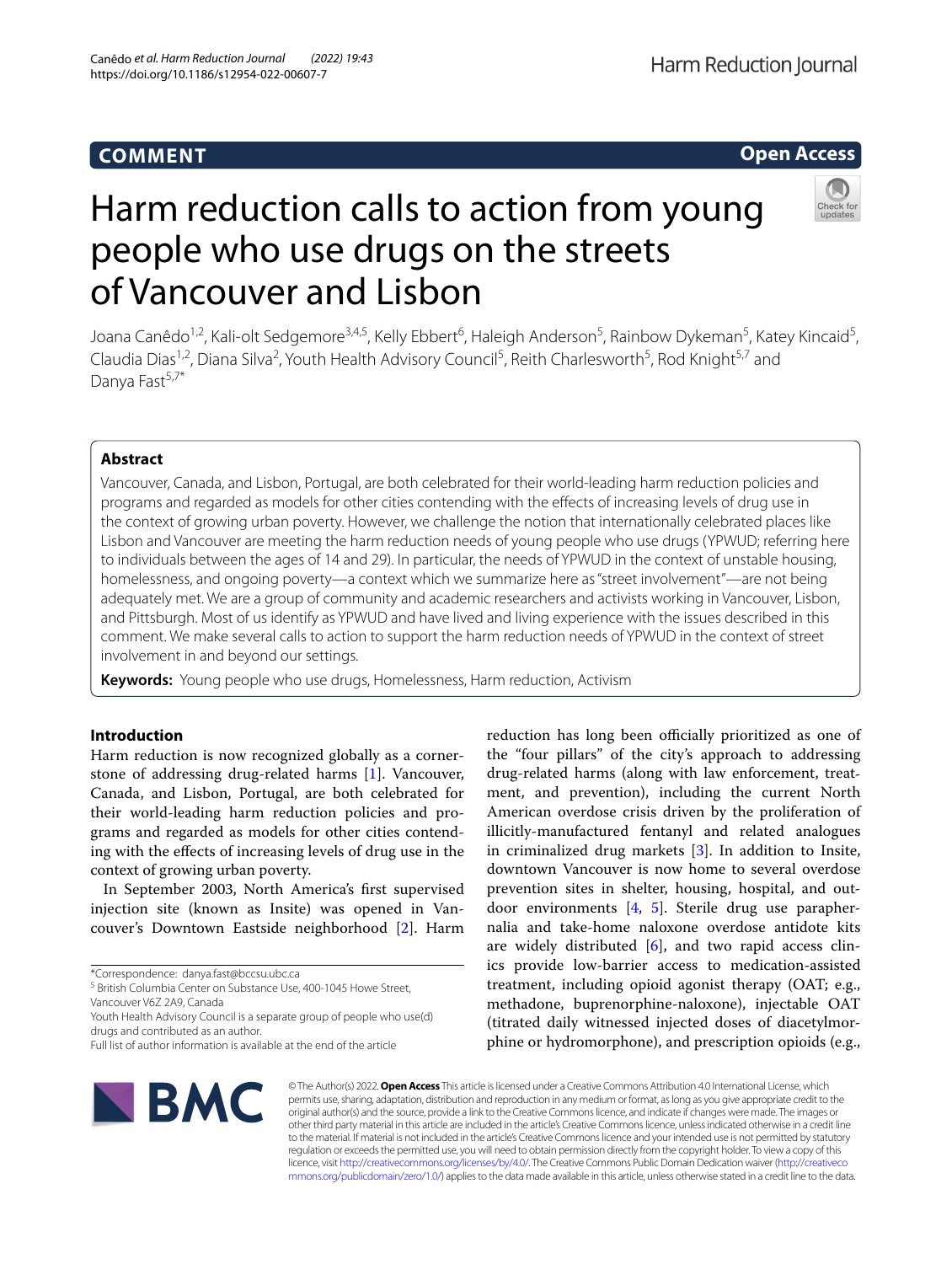# **COMMENT**

# **Open Access**

# Harm reduction calls to action from young people who use drugs on the streets of Vancouver and Lisbon

Joana Canêdo<sup>1,2</sup>, Kali-olt Sedgemore<sup>3,4,5</sup>, Kelly Ebbert<sup>6</sup>, Haleigh Anderson<sup>5</sup>, Rainbow Dykeman<sup>5</sup>, Katey Kincaid<sup>5</sup>, Claudia Dias<sup>1,2</sup>, Diana Silva<sup>2</sup>, Youth Health Advisory Council<sup>5</sup>, Reith Charlesworth<sup>5</sup>, Rod Knight<sup>5,7</sup> and Danya Fast<sup>5,7\*</sup>

# **Abstract**

Vancouver, Canada, and Lisbon, Portugal, are both celebrated for their world-leading harm reduction policies and programs and regarded as models for other cities contending with the efects of increasing levels of drug use in the context of growing urban poverty. However, we challenge the notion that internationally celebrated places like Lisbon and Vancouver are meeting the harm reduction needs of young people who use drugs (YPWUD; referring here to individuals between the ages of 14 and 29). In particular, the needs of YPWUD in the context of unstable housing, homelessness, and ongoing poverty—a context which we summarize here as "street involvement"—are not being adequately met. We are a group of community and academic researchers and activists working in Vancouver, Lisbon, and Pittsburgh. Most of us identify as YPWUD and have lived and living experience with the issues described in this comment. We make several calls to action to support the harm reduction needs of YPWUD in the context of street involvement in and beyond our settings.

**Keywords:** Young people who use drugs, Homelessness, Harm reduction, Activism

# **Introduction**

Harm reduction is now recognized globally as a cornerstone of addressing drug-related harms [[1\]](#page-6-0). Vancouver, Canada, and Lisbon, Portugal, are both celebrated for their world-leading harm reduction policies and programs and regarded as models for other cities contending with the efects of increasing levels of drug use in the context of growing urban poverty.

In September 2003, North America's frst supervised injection site (known as Insite) was opened in Vancouver's Downtown Eastside neighborhood [[2\]](#page-6-1). Harm

<sup>5</sup> British Columbia Center on Substance Use, 400-1045 Howe Street,

Vancouver V6Z 2A9, Canada

Youth Health Advisory Council is a separate group of people who use(d) drugs and contributed as an author.

reduction has long been officially prioritized as one of the "four pillars" of the city's approach to addressing drug-related harms (along with law enforcement, treatment, and prevention), including the current North American overdose crisis driven by the proliferation of illicitly-manufactured fentanyl and related analogues in criminalized drug markets [[3\]](#page-6-2). In addition to Insite, downtown Vancouver is now home to several overdose prevention sites in shelter, housing, hospital, and outdoor environments [[4,](#page-6-3) [5](#page-6-4)]. Sterile drug use paraphernalia and take-home naloxone overdose antidote kits are widely distributed  $[6]$  $[6]$ , and two rapid access clinics provide low-barrier access to medication-assisted treatment, including opioid agonist therapy (OAT; e.g., methadone, buprenorphine-naloxone), injectable OAT (titrated daily witnessed injected doses of diacetylmorphine or hydromorphone), and prescription opioids (e.g.,



© The Author(s) 2022. **Open Access** This article is licensed under a Creative Commons Attribution 4.0 International License, which permits use, sharing, adaptation, distribution and reproduction in any medium or format, as long as you give appropriate credit to the original author(s) and the source, provide a link to the Creative Commons licence, and indicate if changes were made. The images or other third party material in this article are included in the article's Creative Commons licence, unless indicated otherwise in a credit line to the material. If material is not included in the article's Creative Commons licence and your intended use is not permitted by statutory regulation or exceeds the permitted use, you will need to obtain permission directly from the copyright holder. To view a copy of this licence, visit [http://creativecommons.org/licenses/by/4.0/.](http://creativecommons.org/licenses/by/4.0/) The Creative Commons Public Domain Dedication waiver ([http://creativeco](http://creativecommons.org/publicdomain/zero/1.0/) [mmons.org/publicdomain/zero/1.0/](http://creativecommons.org/publicdomain/zero/1.0/)) applies to the data made available in this article, unless otherwise stated in a credit line to the data.

<sup>\*</sup>Correspondence: danya.fast@bccsu.ubc.ca

Full list of author information is available at the end of the article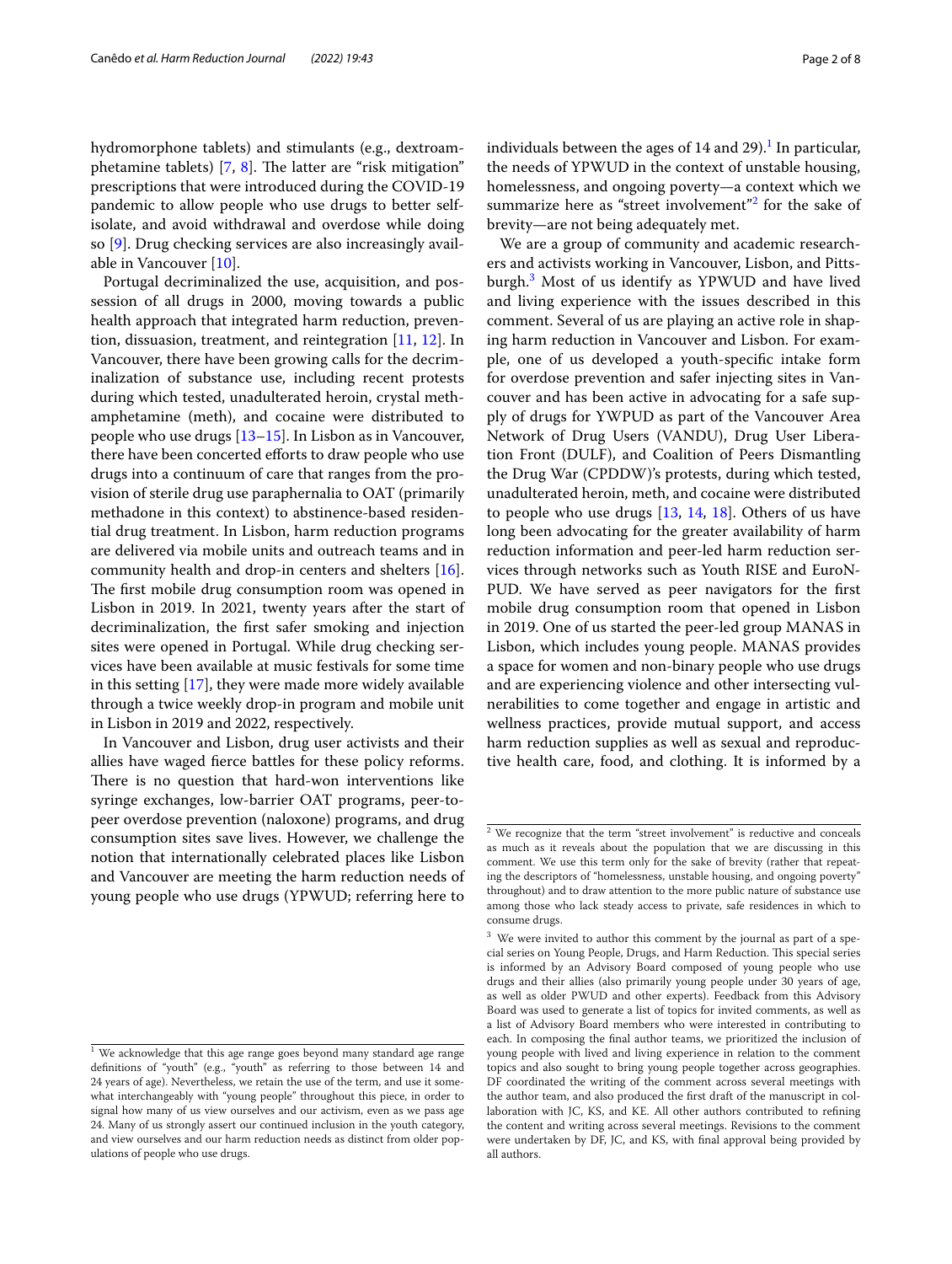hydromorphone tablets) and stimulants (e.g., dextroamphetamine tablets)  $[7, 8]$  $[7, 8]$  $[7, 8]$  $[7, 8]$ . The latter are "risk mitigation" prescriptions that were introduced during the COVID-19 pandemic to allow people who use drugs to better selfisolate, and avoid withdrawal and overdose while doing so [[9](#page-6-8)]. Drug checking services are also increasingly available in Vancouver [\[10\]](#page-6-9).

Portugal decriminalized the use, acquisition, and possession of all drugs in 2000, moving towards a public health approach that integrated harm reduction, prevention, dissuasion, treatment, and reintegration [[11,](#page-6-10) [12\]](#page-6-11). In Vancouver, there have been growing calls for the decriminalization of substance use, including recent protests during which tested, unadulterated heroin, crystal methamphetamine (meth), and cocaine were distributed to people who use drugs [\[13](#page-6-12)[–15\]](#page-6-13). In Lisbon as in Vancouver, there have been concerted efforts to draw people who use drugs into a continuum of care that ranges from the provision of sterile drug use paraphernalia to OAT (primarily methadone in this context) to abstinence-based residential drug treatment. In Lisbon, harm reduction programs are delivered via mobile units and outreach teams and in community health and drop-in centers and shelters [\[16](#page-6-14)]. The first mobile drug consumption room was opened in Lisbon in 2019. In 2021, twenty years after the start of decriminalization, the frst safer smoking and injection sites were opened in Portugal. While drug checking services have been available at music festivals for some time in this setting [[17\]](#page-6-15), they were made more widely available through a twice weekly drop-in program and mobile unit in Lisbon in 2019 and 2022, respectively.

In Vancouver and Lisbon, drug user activists and their allies have waged ferce battles for these policy reforms. There is no question that hard-won interventions like syringe exchanges, low-barrier OAT programs, peer-topeer overdose prevention (naloxone) programs, and drug consumption sites save lives. However, we challenge the notion that internationally celebrated places like Lisbon and Vancouver are meeting the harm reduction needs of young people who use drugs (YPWUD; referring here to

individuals between the ages of  $14$  $14$  and  $29$ ).<sup>1</sup> In particular, the needs of YPWUD in the context of unstable housing, homelessness, and ongoing poverty—a context which we summarize here as "street involvement"<sup>[2](#page-1-1)</sup> for the sake of brevity—are not being adequately met.

We are a group of community and academic researchers and activists working in Vancouver, Lisbon, and Pittsburgh[.3](#page-1-2) Most of us identify as YPWUD and have lived and living experience with the issues described in this comment. Several of us are playing an active role in shaping harm reduction in Vancouver and Lisbon. For example, one of us developed a youth-specifc intake form for overdose prevention and safer injecting sites in Vancouver and has been active in advocating for a safe supply of drugs for YWPUD as part of the Vancouver Area Network of Drug Users (VANDU), Drug User Liberation Front (DULF), and Coalition of Peers Dismantling the Drug War (CPDDW)'s protests, during which tested, unadulterated heroin, meth, and cocaine were distributed to people who use drugs  $[13, 14, 18]$  $[13, 14, 18]$  $[13, 14, 18]$  $[13, 14, 18]$  $[13, 14, 18]$  $[13, 14, 18]$  $[13, 14, 18]$ . Others of us have long been advocating for the greater availability of harm reduction information and peer-led harm reduction services through networks such as Youth RISE and EuroN-PUD. We have served as peer navigators for the frst mobile drug consumption room that opened in Lisbon in 2019. One of us started the peer-led group MANAS in Lisbon, which includes young people. MANAS provides a space for women and non-binary people who use drugs and are experiencing violence and other intersecting vulnerabilities to come together and engage in artistic and wellness practices, provide mutual support, and access harm reduction supplies as well as sexual and reproductive health care, food, and clothing. It is informed by a

<span id="page-1-0"></span> $1$  We acknowledge that this age range goes beyond many standard age range defnitions of "youth" (e.g., "youth" as referring to those between 14 and 24 years of age). Nevertheless, we retain the use of the term, and use it somewhat interchangeably with "young people" throughout this piece, in order to signal how many of us view ourselves and our activism, even as we pass age 24. Many of us strongly assert our continued inclusion in the youth category, and view ourselves and our harm reduction needs as distinct from older populations of people who use drugs.

<span id="page-1-1"></span> $2$  We recognize that the term "street involvement" is reductive and conceals as much as it reveals about the population that we are discussing in this comment. We use this term only for the sake of brevity (rather that repeating the descriptors of "homelessness, unstable housing, and ongoing poverty" throughout) and to draw attention to the more public nature of substance use among those who lack steady access to private, safe residences in which to consume drugs.

<span id="page-1-2"></span><sup>&</sup>lt;sup>3</sup> We were invited to author this comment by the journal as part of a special series on Young People, Drugs, and Harm Reduction. This special series is informed by an Advisory Board composed of young people who use drugs and their allies (also primarily young people under 30 years of age, as well as older PWUD and other experts). Feedback from this Advisory Board was used to generate a list of topics for invited comments, as well as a list of Advisory Board members who were interested in contributing to each. In composing the fnal author teams, we prioritized the inclusion of young people with lived and living experience in relation to the comment topics and also sought to bring young people together across geographies. DF coordinated the writing of the comment across several meetings with the author team, and also produced the frst draft of the manuscript in collaboration with JC, KS, and KE. All other authors contributed to refning the content and writing across several meetings. Revisions to the comment were undertaken by DF, JC, and KS, with fnal approval being provided by all authors.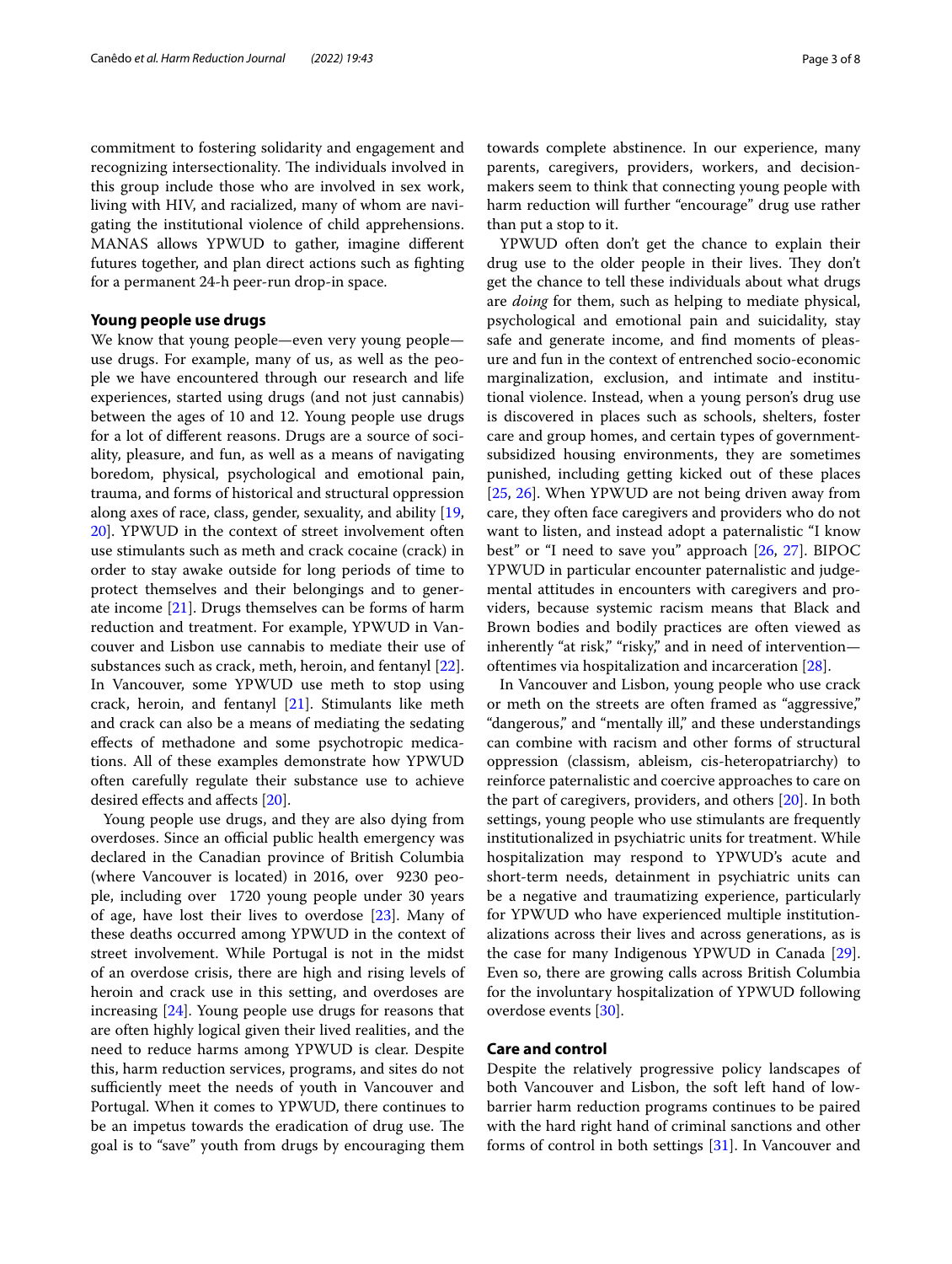commitment to fostering solidarity and engagement and recognizing intersectionality. The individuals involved in this group include those who are involved in sex work, living with HIV, and racialized, many of whom are navigating the institutional violence of child apprehensions. MANAS allows YPWUD to gather, imagine diferent futures together, and plan direct actions such as fghting for a permanent 24-h peer-run drop-in space.

# **Young people use drugs**

We know that young people—even very young people use drugs. For example, many of us, as well as the people we have encountered through our research and life experiences, started using drugs (and not just cannabis) between the ages of 10 and 12. Young people use drugs for a lot of diferent reasons. Drugs are a source of sociality, pleasure, and fun, as well as a means of navigating boredom, physical, psychological and emotional pain, trauma, and forms of historical and structural oppression along axes of race, class, gender, sexuality, and ability [\[19](#page-6-18), [20\]](#page-6-19). YPWUD in the context of street involvement often use stimulants such as meth and crack cocaine (crack) in order to stay awake outside for long periods of time to protect themselves and their belongings and to generate income [[21\]](#page-6-20). Drugs themselves can be forms of harm reduction and treatment. For example, YPWUD in Vancouver and Lisbon use cannabis to mediate their use of substances such as crack, meth, heroin, and fentanyl [\[22](#page-6-21)]. In Vancouver, some YPWUD use meth to stop using crack, heroin, and fentanyl [[21\]](#page-6-20). Stimulants like meth and crack can also be a means of mediating the sedating efects of methadone and some psychotropic medications. All of these examples demonstrate how YPWUD often carefully regulate their substance use to achieve desired efects and afects [[20\]](#page-6-19).

Young people use drugs, and they are also dying from overdoses. Since an official public health emergency was declared in the Canadian province of British Columbia (where Vancouver is located) in 2016, over 9230 people, including over 1720 young people under 30 years of age, have lost their lives to overdose [[23\]](#page-6-22). Many of these deaths occurred among YPWUD in the context of street involvement. While Portugal is not in the midst of an overdose crisis, there are high and rising levels of heroin and crack use in this setting, and overdoses are increasing [[24\]](#page-6-23). Young people use drugs for reasons that are often highly logical given their lived realities, and the need to reduce harms among YPWUD is clear. Despite this, harm reduction services, programs, and sites do not sufficiently meet the needs of youth in Vancouver and Portugal. When it comes to YPWUD, there continues to be an impetus towards the eradication of drug use. The goal is to "save" youth from drugs by encouraging them

towards complete abstinence. In our experience, many parents, caregivers, providers, workers, and decisionmakers seem to think that connecting young people with harm reduction will further "encourage" drug use rather than put a stop to it.

YPWUD often don't get the chance to explain their drug use to the older people in their lives. They don't get the chance to tell these individuals about what drugs are *doing* for them, such as helping to mediate physical, psychological and emotional pain and suicidality, stay safe and generate income, and fnd moments of pleasure and fun in the context of entrenched socio-economic marginalization, exclusion, and intimate and institutional violence. Instead, when a young person's drug use is discovered in places such as schools, shelters, foster care and group homes, and certain types of governmentsubsidized housing environments, they are sometimes punished, including getting kicked out of these places [[25,](#page-6-24) [26\]](#page-6-25). When YPWUD are not being driven away from care, they often face caregivers and providers who do not want to listen, and instead adopt a paternalistic "I know best" or "I need to save you" approach [[26](#page-6-25), [27\]](#page-7-0). BIPOC YPWUD in particular encounter paternalistic and judgemental attitudes in encounters with caregivers and providers, because systemic racism means that Black and Brown bodies and bodily practices are often viewed as inherently "at risk," "risky," and in need of intervention oftentimes via hospitalization and incarceration [[28\]](#page-7-1).

In Vancouver and Lisbon, young people who use crack or meth on the streets are often framed as "aggressive," "dangerous," and "mentally ill," and these understandings can combine with racism and other forms of structural oppression (classism, ableism, cis-heteropatriarchy) to reinforce paternalistic and coercive approaches to care on the part of caregivers, providers, and others [\[20](#page-6-19)]. In both settings, young people who use stimulants are frequently institutionalized in psychiatric units for treatment. While hospitalization may respond to YPWUD's acute and short-term needs, detainment in psychiatric units can be a negative and traumatizing experience, particularly for YPWUD who have experienced multiple institutionalizations across their lives and across generations, as is the case for many Indigenous YPWUD in Canada [\[29](#page-7-2)]. Even so, there are growing calls across British Columbia for the involuntary hospitalization of YPWUD following overdose events [\[30](#page-7-3)].

### **Care and control**

Despite the relatively progressive policy landscapes of both Vancouver and Lisbon, the soft left hand of lowbarrier harm reduction programs continues to be paired with the hard right hand of criminal sanctions and other forms of control in both settings [\[31](#page-7-4)]. In Vancouver and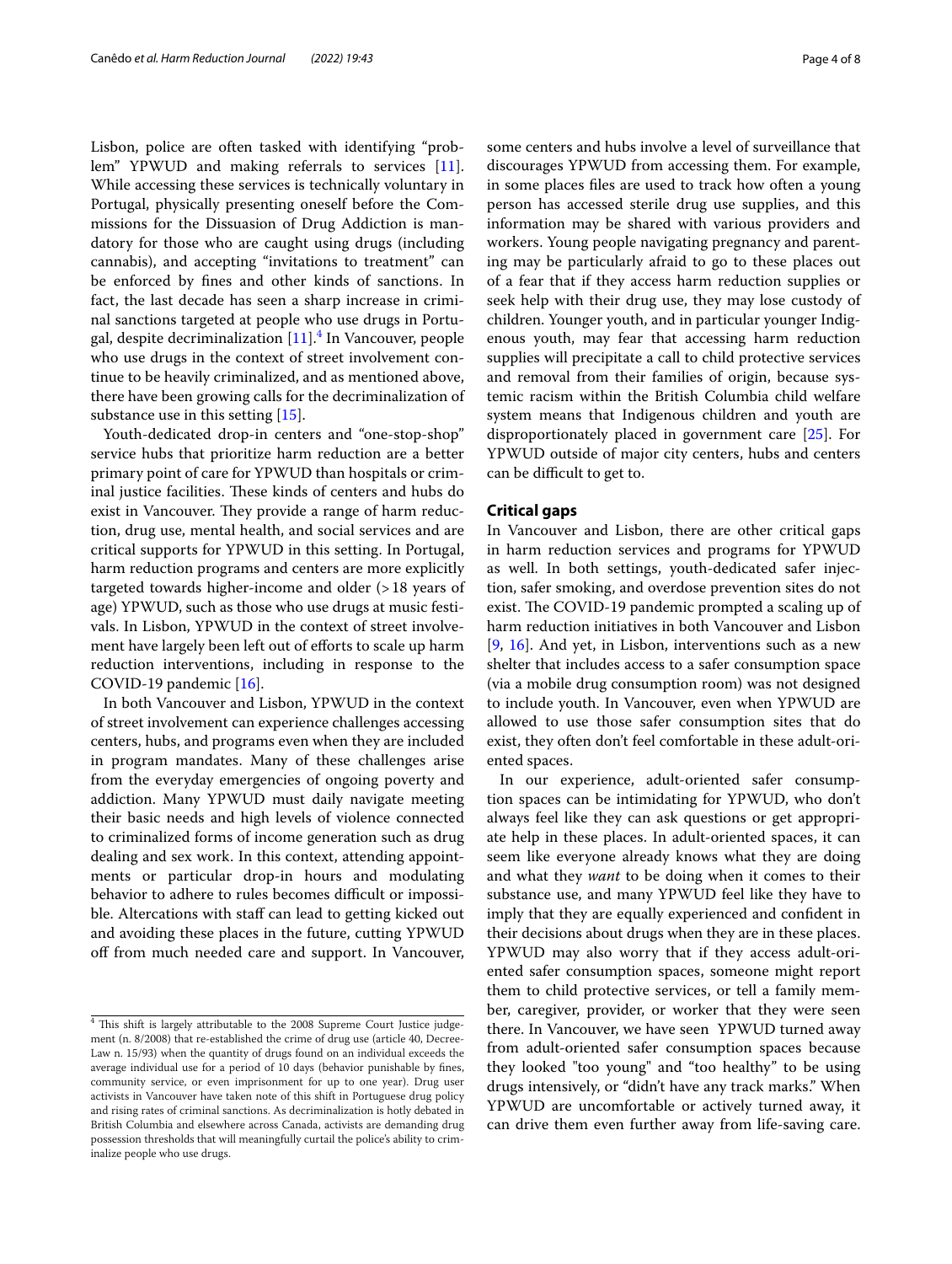Lisbon, police are often tasked with identifying "problem" YPWUD and making referrals to services [\[11](#page-6-10)]. While accessing these services is technically voluntary in Portugal, physically presenting oneself before the Commissions for the Dissuasion of Drug Addiction is mandatory for those who are caught using drugs (including cannabis), and accepting "invitations to treatment" can be enforced by fnes and other kinds of sanctions. In fact, the last decade has seen a sharp increase in criminal sanctions targeted at people who use drugs in Portu-gal, despite decriminalization [[11\]](#page-6-10).<sup>4</sup> In Vancouver, people who use drugs in the context of street involvement continue to be heavily criminalized, and as mentioned above, there have been growing calls for the decriminalization of substance use in this setting [\[15\]](#page-6-13).

Youth-dedicated drop-in centers and "one-stop-shop" service hubs that prioritize harm reduction are a better primary point of care for YPWUD than hospitals or criminal justice facilities. These kinds of centers and hubs do exist in Vancouver. They provide a range of harm reduction, drug use, mental health, and social services and are critical supports for YPWUD in this setting. In Portugal, harm reduction programs and centers are more explicitly targeted towards higher-income and older (>18 years of age) YPWUD, such as those who use drugs at music festivals. In Lisbon, YPWUD in the context of street involvement have largely been left out of efforts to scale up harm reduction interventions, including in response to the COVID-19 pandemic [\[16\]](#page-6-14).

In both Vancouver and Lisbon, YPWUD in the context of street involvement can experience challenges accessing centers, hubs, and programs even when they are included in program mandates. Many of these challenges arise from the everyday emergencies of ongoing poverty and addiction. Many YPWUD must daily navigate meeting their basic needs and high levels of violence connected to criminalized forms of income generation such as drug dealing and sex work. In this context, attending appointments or particular drop-in hours and modulating behavior to adhere to rules becomes difficult or impossible. Altercations with staff can lead to getting kicked out and avoiding these places in the future, cutting YPWUD off from much needed care and support. In Vancouver, some centers and hubs involve a level of surveillance that

discourages YPWUD from accessing them. For example, in some places fles are used to track how often a young person has accessed sterile drug use supplies, and this information may be shared with various providers and workers. Young people navigating pregnancy and parenting may be particularly afraid to go to these places out of a fear that if they access harm reduction supplies or seek help with their drug use, they may lose custody of children. Younger youth, and in particular younger Indigenous youth, may fear that accessing harm reduction supplies will precipitate a call to child protective services and removal from their families of origin, because systemic racism within the British Columbia child welfare system means that Indigenous children and youth are disproportionately placed in government care [\[25](#page-6-24)]. For YPWUD outside of major city centers, hubs and centers can be difficult to get to.

### **Critical gaps**

In Vancouver and Lisbon, there are other critical gaps in harm reduction services and programs for YPWUD as well. In both settings, youth-dedicated safer injection, safer smoking, and overdose prevention sites do not exist. The COVID-19 pandemic prompted a scaling up of harm reduction initiatives in both Vancouver and Lisbon [[9,](#page-6-8) [16](#page-6-14)]. And yet, in Lisbon, interventions such as a new shelter that includes access to a safer consumption space (via a mobile drug consumption room) was not designed to include youth. In Vancouver, even when YPWUD are allowed to use those safer consumption sites that do exist, they often don't feel comfortable in these adult-oriented spaces.

In our experience, adult-oriented safer consumption spaces can be intimidating for YPWUD, who don't always feel like they can ask questions or get appropriate help in these places. In adult-oriented spaces, it can seem like everyone already knows what they are doing and what they *want* to be doing when it comes to their substance use, and many YPWUD feel like they have to imply that they are equally experienced and confdent in their decisions about drugs when they are in these places. YPWUD may also worry that if they access adult-oriented safer consumption spaces, someone might report them to child protective services, or tell a family member, caregiver, provider, or worker that they were seen there. In Vancouver, we have seen YPWUD turned away from adult-oriented safer consumption spaces because they looked "too young" and "too healthy" to be using drugs intensively, or "didn't have any track marks." When YPWUD are uncomfortable or actively turned away, it can drive them even further away from life-saving care.

<span id="page-3-0"></span> $4$  This shift is largely attributable to the 2008 Supreme Court Justice judgement (n. 8/2008) that re-established the crime of drug use (article 40, Decree-Law n. 15/93) when the quantity of drugs found on an individual exceeds the average individual use for a period of 10 days (behavior punishable by fnes, community service, or even imprisonment for up to one year). Drug user activists in Vancouver have taken note of this shift in Portuguese drug policy and rising rates of criminal sanctions. As decriminalization is hotly debated in British Columbia and elsewhere across Canada, activists are demanding drug possession thresholds that will meaningfully curtail the police's ability to criminalize people who use drugs.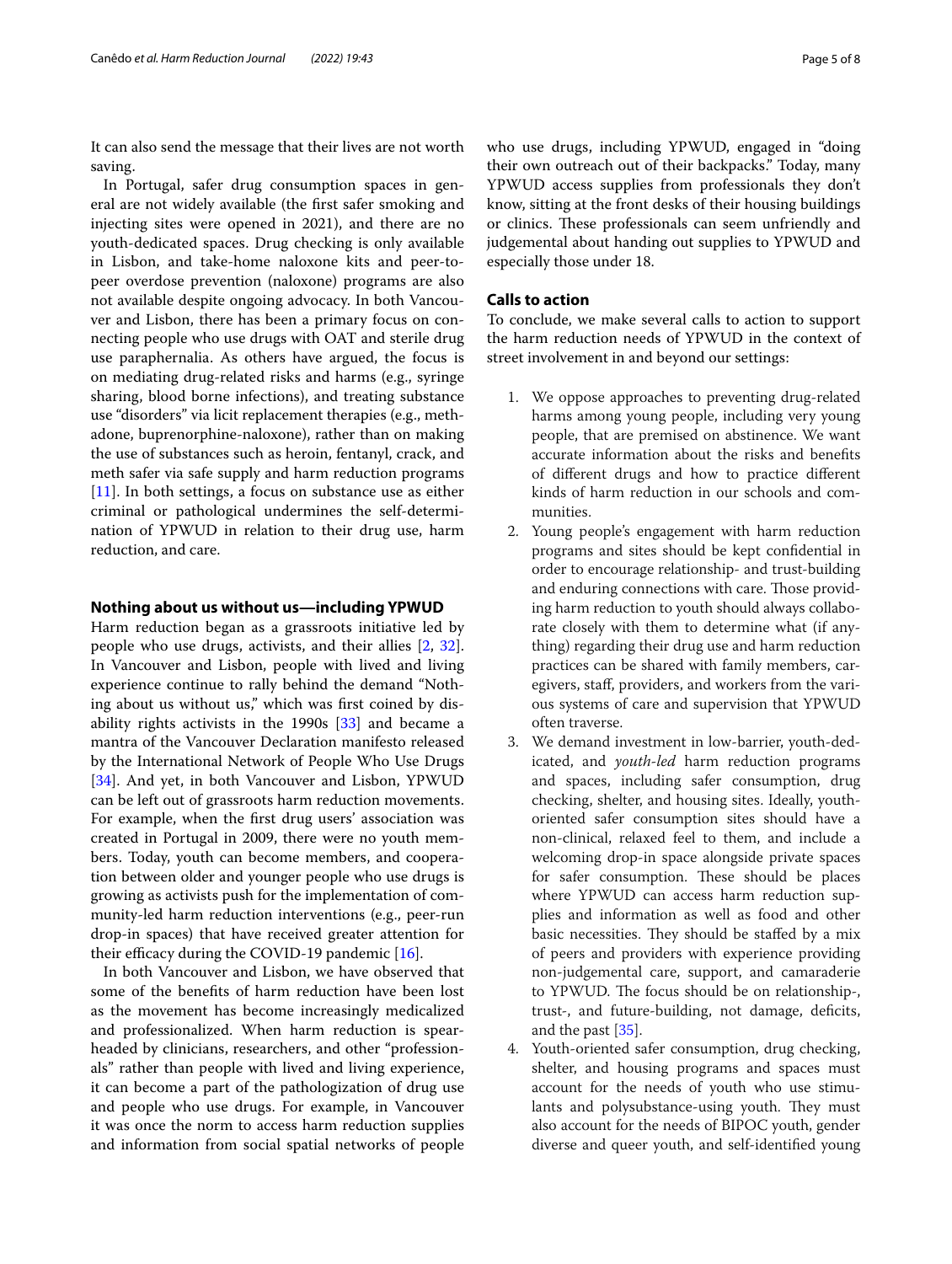It can also send the message that their lives are not worth saving.

In Portugal, safer drug consumption spaces in general are not widely available (the frst safer smoking and injecting sites were opened in 2021), and there are no youth-dedicated spaces. Drug checking is only available in Lisbon, and take-home naloxone kits and peer-topeer overdose prevention (naloxone) programs are also not available despite ongoing advocacy. In both Vancouver and Lisbon, there has been a primary focus on connecting people who use drugs with OAT and sterile drug use paraphernalia. As others have argued, the focus is on mediating drug-related risks and harms (e.g., syringe sharing, blood borne infections), and treating substance use "disorders" via licit replacement therapies (e.g., methadone, buprenorphine-naloxone), rather than on making the use of substances such as heroin, fentanyl, crack, and meth safer via safe supply and harm reduction programs [[11\]](#page-6-10). In both settings, a focus on substance use as either criminal or pathological undermines the self-determination of YPWUD in relation to their drug use, harm reduction, and care.

# **Nothing about us without us—including YPWUD**

Harm reduction began as a grassroots initiative led by people who use drugs, activists, and their allies [\[2](#page-6-1), [32](#page-7-5)]. In Vancouver and Lisbon, people with lived and living experience continue to rally behind the demand "Nothing about us without us," which was frst coined by disability rights activists in the 1990s [\[33\]](#page-7-6) and became a mantra of the Vancouver Declaration manifesto released by the International Network of People Who Use Drugs [[34\]](#page-7-7). And yet, in both Vancouver and Lisbon, YPWUD can be left out of grassroots harm reduction movements. For example, when the frst drug users' association was created in Portugal in 2009, there were no youth members. Today, youth can become members, and cooperation between older and younger people who use drugs is growing as activists push for the implementation of community-led harm reduction interventions (e.g., peer-run drop-in spaces) that have received greater attention for their efficacy during the COVID-19 pandemic  $[16]$  $[16]$ .

In both Vancouver and Lisbon, we have observed that some of the benefts of harm reduction have been lost as the movement has become increasingly medicalized and professionalized. When harm reduction is spearheaded by clinicians, researchers, and other "professionals" rather than people with lived and living experience, it can become a part of the pathologization of drug use and people who use drugs. For example, in Vancouver it was once the norm to access harm reduction supplies and information from social spatial networks of people who use drugs, including YPWUD, engaged in "doing their own outreach out of their backpacks." Today, many YPWUD access supplies from professionals they don't know, sitting at the front desks of their housing buildings or clinics. These professionals can seem unfriendly and judgemental about handing out supplies to YPWUD and especially those under 18.

# **Calls to action**

To conclude, we make several calls to action to support the harm reduction needs of YPWUD in the context of street involvement in and beyond our settings:

- 1. We oppose approaches to preventing drug-related harms among young people, including very young people, that are premised on abstinence. We want accurate information about the risks and benefts of diferent drugs and how to practice diferent kinds of harm reduction in our schools and communities.
- 2. Young people's engagement with harm reduction programs and sites should be kept confdential in order to encourage relationship- and trust-building and enduring connections with care. Those providing harm reduction to youth should always collaborate closely with them to determine what (if anything) regarding their drug use and harm reduction practices can be shared with family members, caregivers, staf, providers, and workers from the various systems of care and supervision that YPWUD often traverse.
- 3. We demand investment in low-barrier, youth-dedicated, and *youth-led* harm reduction programs and spaces, including safer consumption, drug checking, shelter, and housing sites. Ideally, youthoriented safer consumption sites should have a non-clinical, relaxed feel to them, and include a welcoming drop-in space alongside private spaces for safer consumption. These should be places where YPWUD can access harm reduction supplies and information as well as food and other basic necessities. They should be staffed by a mix of peers and providers with experience providing non-judgemental care, support, and camaraderie to YPWUD. The focus should be on relationship-, trust-, and future-building, not damage, defcits, and the past [\[35\]](#page-7-8).
- 4. Youth-oriented safer consumption, drug checking, shelter, and housing programs and spaces must account for the needs of youth who use stimulants and polysubstance-using youth. They must also account for the needs of BIPOC youth, gender diverse and queer youth, and self-identifed young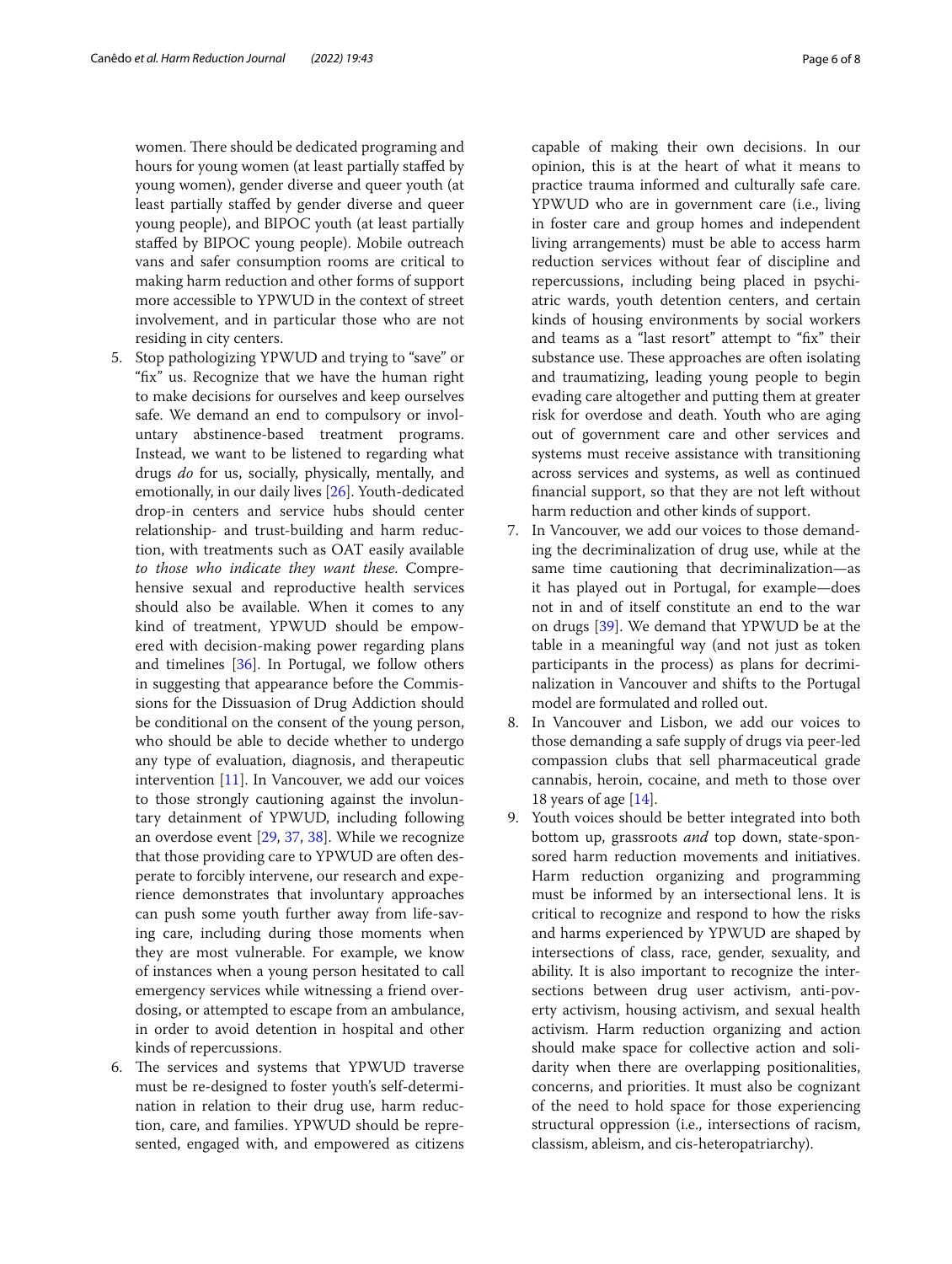women. There should be dedicated programing and hours for young women (at least partially stafed by young women), gender diverse and queer youth (at least partially stafed by gender diverse and queer young people), and BIPOC youth (at least partially stafed by BIPOC young people). Mobile outreach vans and safer consumption rooms are critical to making harm reduction and other forms of support more accessible to YPWUD in the context of street involvement, and in particular those who are not residing in city centers.

- 5. Stop pathologizing YPWUD and trying to "save" or "fx" us. Recognize that we have the human right to make decisions for ourselves and keep ourselves safe. We demand an end to compulsory or involuntary abstinence-based treatment programs. Instead, we want to be listened to regarding what drugs *do* for us, socially, physically, mentally, and emotionally, in our daily lives [[26](#page-6-25)]. Youth-dedicated drop-in centers and service hubs should center relationship- and trust-building and harm reduction, with treatments such as OAT easily available *to those who indicate they want these*. Comprehensive sexual and reproductive health services should also be available. When it comes to any kind of treatment, YPWUD should be empowered with decision-making power regarding plans and timelines [\[36\]](#page-7-9). In Portugal, we follow others in suggesting that appearance before the Commissions for the Dissuasion of Drug Addiction should be conditional on the consent of the young person, who should be able to decide whether to undergo any type of evaluation, diagnosis, and therapeutic intervention [\[11](#page-6-10)]. In Vancouver, we add our voices to those strongly cautioning against the involuntary detainment of YPWUD, including following an overdose event [[29](#page-7-2), [37,](#page-7-10) [38](#page-7-11)]. While we recognize that those providing care to YPWUD are often desperate to forcibly intervene, our research and experience demonstrates that involuntary approaches can push some youth further away from life-saving care, including during those moments when they are most vulnerable. For example, we know of instances when a young person hesitated to call emergency services while witnessing a friend overdosing, or attempted to escape from an ambulance, in order to avoid detention in hospital and other kinds of repercussions.
- 6. The services and systems that YPWUD traverse must be re-designed to foster youth's self-determination in relation to their drug use, harm reduction, care, and families. YPWUD should be represented, engaged with, and empowered as citizens

capable of making their own decisions. In our opinion, this is at the heart of what it means to practice trauma informed and culturally safe care. YPWUD who are in government care (i.e., living in foster care and group homes and independent living arrangements) must be able to access harm reduction services without fear of discipline and repercussions, including being placed in psychiatric wards, youth detention centers, and certain kinds of housing environments by social workers and teams as a "last resort" attempt to "fix" their substance use. These approaches are often isolating and traumatizing, leading young people to begin evading care altogether and putting them at greater risk for overdose and death. Youth who are aging out of government care and other services and systems must receive assistance with transitioning across services and systems, as well as continued fnancial support, so that they are not left without harm reduction and other kinds of support.

- 7. In Vancouver, we add our voices to those demanding the decriminalization of drug use, while at the same time cautioning that decriminalization—as it has played out in Portugal, for example—does not in and of itself constitute an end to the war on drugs [[39\]](#page-7-12). We demand that YPWUD be at the table in a meaningful way (and not just as token participants in the process) as plans for decriminalization in Vancouver and shifts to the Portugal model are formulated and rolled out.
- 8. In Vancouver and Lisbon, we add our voices to those demanding a safe supply of drugs via peer-led compassion clubs that sell pharmaceutical grade cannabis, heroin, cocaine, and meth to those over 18 years of age [[14](#page-6-16)].
- 9. Youth voices should be better integrated into both bottom up, grassroots *and* top down, state-sponsored harm reduction movements and initiatives. Harm reduction organizing and programming must be informed by an intersectional lens. It is critical to recognize and respond to how the risks and harms experienced by YPWUD are shaped by intersections of class, race, gender, sexuality, and ability. It is also important to recognize the intersections between drug user activism, anti-poverty activism, housing activism, and sexual health activism. Harm reduction organizing and action should make space for collective action and solidarity when there are overlapping positionalities, concerns, and priorities. It must also be cognizant of the need to hold space for those experiencing structural oppression (i.e., intersections of racism, classism, ableism, and cis-heteropatriarchy).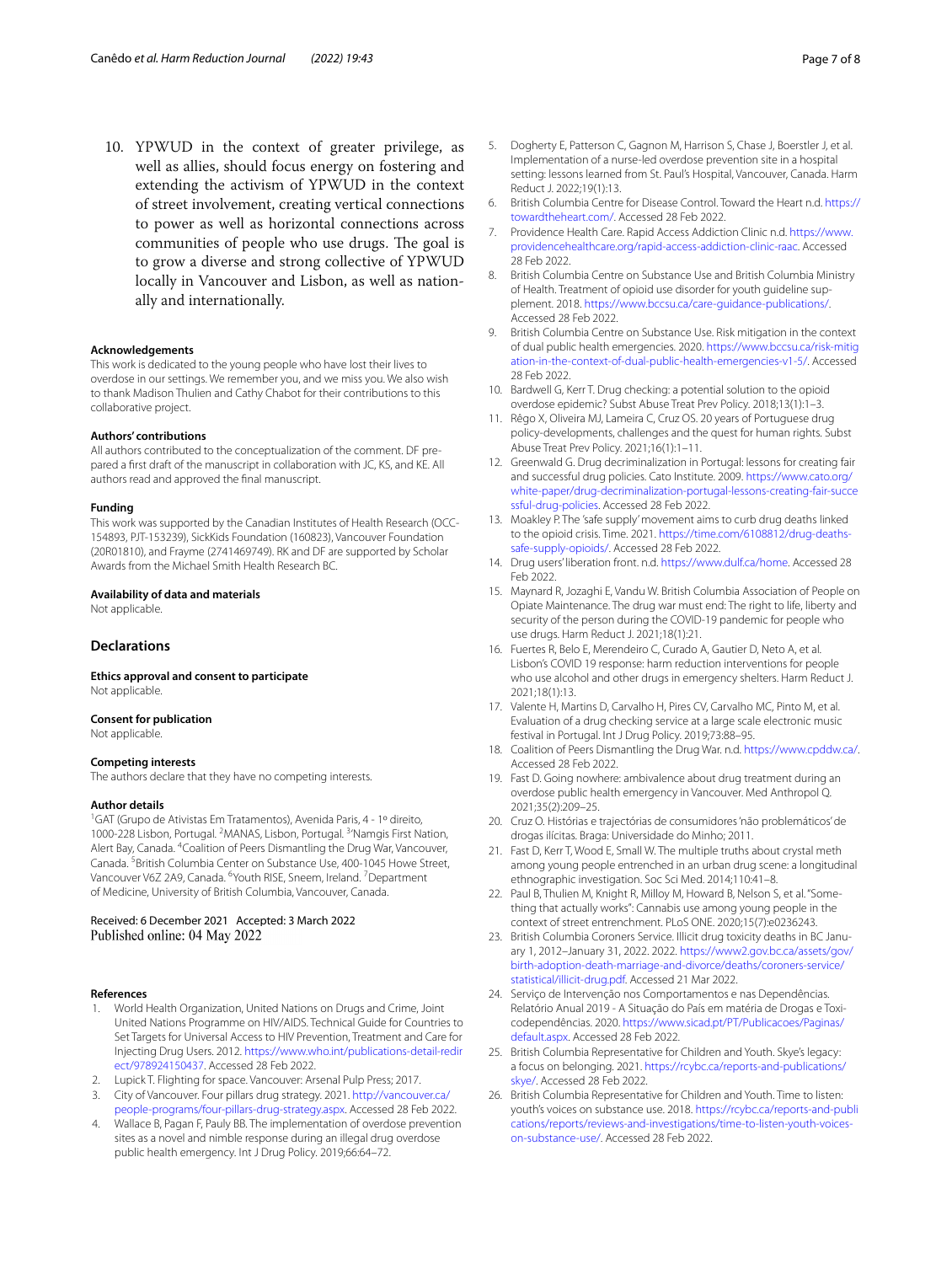10. YPWUD in the context of greater privilege, as well as allies, should focus energy on fostering and extending the activism of YPWUD in the context of street involvement, creating vertical connections to power as well as horizontal connections across communities of people who use drugs. The goal is to grow a diverse and strong collective of YPWUD locally in Vancouver and Lisbon, as well as nationally and internationally.

#### **Acknowledgements**

This work is dedicated to the young people who have lost their lives to overdose in our settings. We remember you, and we miss you. We also wish to thank Madison Thulien and Cathy Chabot for their contributions to this collaborative project.

#### **Authors' contributions**

All authors contributed to the conceptualization of the comment. DF prepared a frst draft of the manuscript in collaboration with JC, KS, and KE. All authors read and approved the fnal manuscript.

#### **Funding**

This work was supported by the Canadian Institutes of Health Research (OCC-154893, PJT-153239), SickKids Foundation (160823), Vancouver Foundation (20R01810), and Frayme (2741469749). RK and DF are supported by Scholar Awards from the Michael Smith Health Research BC.

#### **Availability of data and materials**

Not applicable.

#### **Declarations**

**Ethics approval and consent to participate** Not applicable.

#### **Consent for publication**

Not applicable.

#### **Competing interests**

The authors declare that they have no competing interests.

#### **Author details**

<sup>1</sup>GAT (Grupo de Ativistas Em Tratamentos), Avenida Paris, 4 - 1º direito, 1000-228 Lisbon, Portugal. <sup>2</sup>MANAS, Lisbon, Portugal. <sup>3</sup>'Namgis First Nation, Alert Bay, Canada. <sup>4</sup> Coalition of Peers Dismantling the Drug War, Vancouver, Canada. <sup>5</sup> British Columbia Center on Substance Use, 400-1045 Howe Street, Vancouver V6Z 2A9, Canada. <sup>6</sup>Youth RISE, Sneem, Ireland. <sup>7</sup>Department of Medicine, University of British Columbia, Vancouver, Canada.

#### Received: 6 December 2021 Accepted: 3 March 2022 Published online: 04 May 2022

#### **References**

- <span id="page-6-0"></span>1. World Health Organization, United Nations on Drugs and Crime, Joint United Nations Programme on HIV/AIDS. Technical Guide for Countries to Set Targets for Universal Access to HIV Prevention, Treatment and Care for Injecting Drug Users. 2012. [https://www.who.int/publications-detail-redir](https://www.who.int/publications-detail-redirect/978924150437) [ect/978924150437.](https://www.who.int/publications-detail-redirect/978924150437) Accessed 28 Feb 2022.
- <span id="page-6-1"></span>2. Lupick T. Flighting for space. Vancouver: Arsenal Pulp Press; 2017.
- <span id="page-6-2"></span>3. City of Vancouver. Four pillars drug strategy. 2021. [http://vancouver.ca/](http://vancouver.ca/people-programs/four-pillars-drug-strategy.aspx) [people-programs/four-pillars-drug-strategy.aspx.](http://vancouver.ca/people-programs/four-pillars-drug-strategy.aspx) Accessed 28 Feb 2022.
- <span id="page-6-3"></span>4. Wallace B, Pagan F, Pauly BB. The implementation of overdose prevention sites as a novel and nimble response during an illegal drug overdose public health emergency. Int J Drug Policy. 2019;66:64–72.
- <span id="page-6-4"></span>5. Dogherty E, Patterson C, Gagnon M, Harrison S, Chase J, Boerstler J, et al. Implementation of a nurse-led overdose prevention site in a hospital setting: lessons learned from St. Paul's Hospital, Vancouver, Canada. Harm Reduct J. 2022;19(1):13.
- <span id="page-6-5"></span>6. British Columbia Centre for Disease Control. Toward the Heart n.d. [https://](https://towardtheheart.com/) [towardtheheart.com/](https://towardtheheart.com/). Accessed 28 Feb 2022.
- <span id="page-6-6"></span>7. Providence Health Care. Rapid Access Addiction Clinic n.d. [https://www.](https://www.providencehealthcare.org/rapid-access-addiction-clinic-raac) [providencehealthcare.org/rapid-access-addiction-clinic-raac](https://www.providencehealthcare.org/rapid-access-addiction-clinic-raac). Accessed 28 Feb 2022.
- <span id="page-6-7"></span>8. British Columbia Centre on Substance Use and British Columbia Ministry of Health. Treatment of opioid use disorder for youth guideline supplement. 2018. [https://www.bccsu.ca/care-guidance-publications/.](https://www.bccsu.ca/care-guidance-publications/) Accessed 28 Feb 2022.
- <span id="page-6-8"></span>British Columbia Centre on Substance Use. Risk mitigation in the context of dual public health emergencies. 2020. [https://www.bccsu.ca/risk-mitig](https://www.bccsu.ca/risk-mitigation-in-the-context-of-dual-public-health-emergencies-v1-5/) [ation-in-the-context-of-dual-public-health-emergencies-v1-5/](https://www.bccsu.ca/risk-mitigation-in-the-context-of-dual-public-health-emergencies-v1-5/). Accessed 28 Feb 2022.
- <span id="page-6-9"></span>10. Bardwell G, Kerr T. Drug checking: a potential solution to the opioid overdose epidemic? Subst Abuse Treat Prev Policy. 2018;13(1):1–3.
- <span id="page-6-10"></span>11. Rêgo X, Oliveira MJ, Lameira C, Cruz OS. 20 years of Portuguese drug policy-developments, challenges and the quest for human rights. Subst Abuse Treat Prev Policy. 2021;16(1):1–11.
- <span id="page-6-11"></span>12. Greenwald G. Drug decriminalization in Portugal: lessons for creating fair and successful drug policies. Cato Institute. 2009. [https://www.cato.org/](https://www.cato.org/white-paper/drug-decriminalization-portugal-lessons-creating-fair-successful-drug-policies) [white-paper/drug-decriminalization-portugal-lessons-creating-fair-succe](https://www.cato.org/white-paper/drug-decriminalization-portugal-lessons-creating-fair-successful-drug-policies) [ssful-drug-policies](https://www.cato.org/white-paper/drug-decriminalization-portugal-lessons-creating-fair-successful-drug-policies). Accessed 28 Feb 2022.
- <span id="page-6-12"></span>13. Moakley P. The 'safe supply' movement aims to curb drug deaths linked to the opioid crisis. Time. 2021. [https://time.com/6108812/drug-deaths](https://time.com/6108812/drug-deaths-safe-supply-opioids/) [safe-supply-opioids/.](https://time.com/6108812/drug-deaths-safe-supply-opioids/) Accessed 28 Feb 2022.
- <span id="page-6-16"></span>14. Drug users' liberation front. n.d. <https://www.dulf.ca/home>. Accessed 28 Feb 2022.
- <span id="page-6-13"></span>15. Maynard R, Jozaghi E, Vandu W. British Columbia Association of People on Opiate Maintenance. The drug war must end: The right to life, liberty and security of the person during the COVID-19 pandemic for people who use drugs. Harm Reduct J. 2021;18(1):21.
- <span id="page-6-14"></span>16. Fuertes R, Belo E, Merendeiro C, Curado A, Gautier D, Neto A, et al. Lisbon's COVID 19 response: harm reduction interventions for people who use alcohol and other drugs in emergency shelters. Harm Reduct J. 2021;18(1):13.
- <span id="page-6-15"></span>17. Valente H, Martins D, Carvalho H, Pires CV, Carvalho MC, Pinto M, et al. Evaluation of a drug checking service at a large scale electronic music festival in Portugal. Int J Drug Policy. 2019;73:88–95.
- <span id="page-6-17"></span>18. Coalition of Peers Dismantling the Drug War. n.d. [https://www.cpddw.ca/.](https://www.cpddw.ca/) Accessed 28 Feb 2022.
- <span id="page-6-18"></span>19. Fast D. Going nowhere: ambivalence about drug treatment during an overdose public health emergency in Vancouver. Med Anthropol Q. 2021;35(2):209–25.
- <span id="page-6-19"></span>20. Cruz O. Histórias e trajectórias de consumidores 'não problemáticos' de drogas ilícitas. Braga: Universidade do Minho; 2011.
- <span id="page-6-20"></span>21. Fast D, Kerr T, Wood E, Small W. The multiple truths about crystal meth among young people entrenched in an urban drug scene: a longitudinal ethnographic investigation. Soc Sci Med. 2014;110:41–8.
- <span id="page-6-21"></span>22. Paul B, Thulien M, Knight R, Milloy M, Howard B, Nelson S, et al. "Something that actually works": Cannabis use among young people in the context of street entrenchment. PLoS ONE. 2020;15(7):e0236243.
- <span id="page-6-22"></span>23. British Columbia Coroners Service. Illicit drug toxicity deaths in BC January 1, 2012–January 31, 2022. 2022. [https://www2.gov.bc.ca/assets/gov/](https://www2.gov.bc.ca/assets/gov/birth-adoption-death-marriage-and-divorce/deaths/coroners-service/statistical/illicit-drug.pdf) [birth-adoption-death-marriage-and-divorce/deaths/coroners-service/](https://www2.gov.bc.ca/assets/gov/birth-adoption-death-marriage-and-divorce/deaths/coroners-service/statistical/illicit-drug.pdf) [statistical/illicit-drug.pdf](https://www2.gov.bc.ca/assets/gov/birth-adoption-death-marriage-and-divorce/deaths/coroners-service/statistical/illicit-drug.pdf). Accessed 21 Mar 2022.
- <span id="page-6-23"></span>24. Serviço de Intervenção nos Comportamentos e nas Dependências. Relatório Anual 2019 - A Situação do País em matéria de Drogas e Toxicodependências. 2020. [https://www.sicad.pt/PT/Publicacoes/Paginas/](https://www.sicad.pt/PT/Publicacoes/Paginas/default.aspx) [default.aspx.](https://www.sicad.pt/PT/Publicacoes/Paginas/default.aspx) Accessed 28 Feb 2022.
- <span id="page-6-24"></span>25. British Columbia Representative for Children and Youth. Skye's legacy: a focus on belonging. 2021. [https://rcybc.ca/reports-and-publications/](https://rcybc.ca/reports-and-publications/skye/) [skye/](https://rcybc.ca/reports-and-publications/skye/). Accessed 28 Feb 2022.
- <span id="page-6-25"></span>26. British Columbia Representative for Children and Youth. Time to listen: youth's voices on substance use. 2018. [https://rcybc.ca/reports-and-publi](https://rcybc.ca/reports-and-publications/reports/reviews-and-investigations/time-to-listen-youth-voices-on-substance-use/) [cations/reports/reviews-and-investigations/time-to-listen-youth-voices](https://rcybc.ca/reports-and-publications/reports/reviews-and-investigations/time-to-listen-youth-voices-on-substance-use/) [on-substance-use/.](https://rcybc.ca/reports-and-publications/reports/reviews-and-investigations/time-to-listen-youth-voices-on-substance-use/) Accessed 28 Feb 2022.